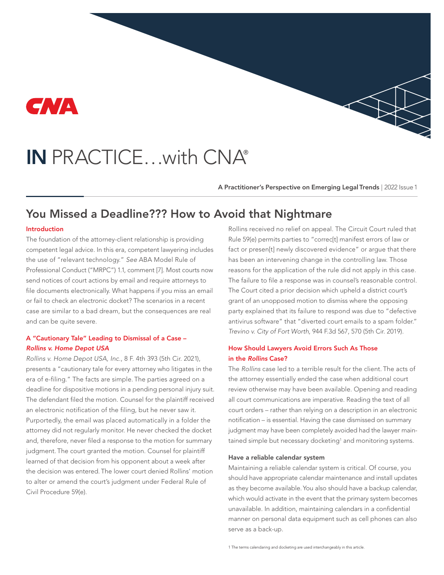

# IN PRACTICE…with CNA®

A Practitioner's Perspective on Emerging Legal Trends | 2022 Issue 1

# You Missed a Deadline??? How to Avoid that Nightmare

#### Introduction

The foundation of the attorney-client relationship is providing competent legal advice. In this era, competent lawyering includes the use of "relevant technology." *See* ABA Model Rule of Professional Conduct ("MRPC") 1.1, comment [7]. Most courts now send notices of court actions by email and require attorneys to file documents electronically. What happens if you miss an email or fail to check an electronic docket? The scenarios in a recent case are similar to a bad dream, but the consequences are real and can be quite severe.

### A "Cautionary Tale" Leading to Dismissal of a Case – *Rollins v. Home Depot USA*

*Rollins v. Home Depot USA, Inc.*, 8 F. 4th 393 (5th Cir. 2021), presents a "cautionary tale for every attorney who litigates in the era of e-filing." The facts are simple. The parties agreed on a deadline for dispositive motions in a pending personal injury suit. The defendant filed the motion. Counsel for the plaintiff received an electronic notification of the filing, but he never saw it. Purportedly, the email was placed automatically in a folder the attorney did not regularly monitor. He never checked the docket and, therefore, never filed a response to the motion for summary judgment. The court granted the motion. Counsel for plaintiff learned of that decision from his opponent about a week after the decision was entered. The lower court denied Rollins' motion to alter or amend the court's judgment under Federal Rule of Civil Procedure 59(e).

Rollins received no relief on appeal. The Circuit Court ruled that Rule 59(e) permits parties to "correc[t] manifest errors of law or fact or presen[t] newly discovered evidence" or argue that there has been an intervening change in the controlling law. Those reasons for the application of the rule did not apply in this case. The failure to file a response was in counsel's reasonable control. The Court cited a prior decision which upheld a district court's grant of an unopposed motion to dismiss where the opposing party explained that its failure to respond was due to "defective antivirus software" that "diverted court emails to a spam folder." *Trevino v. City of Fort Worth*, 944 F.3d 567, 570 (5th Cir. 2019).

# How Should Lawyers Avoid Errors Such As Those in the Rollins Case?

The *Rollins* case led to a terrible result for the client. The acts of the attorney essentially ended the case when additional court review otherwise may have been available. Opening and reading all court communications are imperative. Reading the text of all court orders – rather than relying on a description in an electronic notification – is essential. Having the case dismissed on summary judgment may have been completely avoided had the lawyer maintained simple but necessary docketing<sup>1</sup> and monitoring systems.

#### Have a reliable calendar system

Maintaining a reliable calendar system is critical. Of course, you should have appropriate calendar maintenance and install updates as they become available. You also should have a backup calendar, which would activate in the event that the primary system becomes unavailable. In addition, maintaining calendars in a confidential manner on personal data equipment such as cell phones can also serve as a back-up.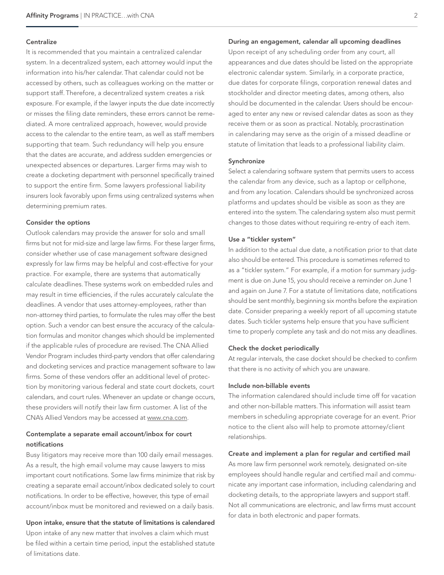#### **Centralize**

It is recommended that you maintain a centralized calendar system. In a decentralized system, each attorney would input the information into his/her calendar. That calendar could not be accessed by others, such as colleagues working on the matter or support staff. Therefore, a decentralized system creates a risk exposure. For example, if the lawyer inputs the due date incorrectly or misses the filing date reminders, these errors cannot be remediated. A more centralized approach, however, would provide access to the calendar to the entire team, as well as staff members supporting that team. Such redundancy will help you ensure that the dates are accurate, and address sudden emergencies or unexpected absences or departures. Larger firms may wish to create a docketing department with personnel specifically trained to support the entire firm. Some lawyers professional liability insurers look favorably upon firms using centralized systems when determining premium rates.

#### Consider the options

Outlook calendars may provide the answer for solo and small firms but not for mid-size and large law firms. For these larger firms, consider whether use of case management software designed expressly for law firms may be helpful and cost-effective for your practice. For example, there are systems that automatically calculate deadlines. These systems work on embedded rules and may result in time efficiencies, if the rules accurately calculate the deadlines. A vendor that uses attorney-employees, rather than non-attorney third parties, to formulate the rules may offer the best option. Such a vendor can best ensure the accuracy of the calculation formulas and monitor changes which should be implemented if the applicable rules of procedure are revised. The CNA Allied Vendor Program includes third-party vendors that offer calendaring and docketing services and practice management software to law firms. Some of these vendors offer an additional level of protection by monitoring various federal and state court dockets, court calendars, and court rules. Whenever an update or change occurs, these providers will notify their law firm customer. A list of the CNA's Allied Vendors may be accessed at [www.cna.com](https://www.cna.com/web/guest/cna/risk-control/lawyers-allied-vendor-program).

# Contemplate a separate email account/inbox for court notifications

Busy litigators may receive more than 100 daily email messages. As a result, the high email volume may cause lawyers to miss important court notifications. Some law firms minimize that risk by creating a separate email account/inbox dedicated solely to court notifications. In order to be effective, however, this type of email account/inbox must be monitored and reviewed on a daily basis.

# Upon intake, ensure that the statute of limitations is calendared

Upon intake of any new matter that involves a claim which must be filed within a certain time period, input the established statute of limitations date.

#### During an engagement, calendar all upcoming deadlines

Upon receipt of any scheduling order from any court, all appearances and due dates should be listed on the appropriate electronic calendar system. Similarly, in a corporate practice, due dates for corporate filings, corporation renewal dates and stockholder and director meeting dates, among others, also should be documented in the calendar. Users should be encouraged to enter any new or revised calendar dates as soon as they receive them or as soon as practical. Notably, procrastination in calendaring may serve as the origin of a missed deadline or statute of limitation that leads to a professional liability claim.

#### Synchronize

Select a calendaring software system that permits users to access the calendar from any device, such as a laptop or cellphone, and from any location. Calendars should be synchronized across platforms and updates should be visible as soon as they are entered into the system. The calendaring system also must permit changes to those dates without requiring re-entry of each item.

#### Use a "tickler system"

In addition to the actual due date, a notification prior to that date also should be entered. This procedure is sometimes referred to as a "tickler system." For example, if a motion for summary judgment is due on June 15, you should receive a reminder on June 1 and again on June 7. For a statute of limitations date, notifications should be sent monthly, beginning six months before the expiration date. Consider preparing a weekly report of all upcoming statute dates. Such tickler systems help ensure that you have sufficient time to properly complete any task and do not miss any deadlines.

#### Check the docket periodically

At regular intervals, the case docket should be checked to confirm that there is no activity of which you are unaware.

#### Include non-billable events

The information calendared should include time off for vacation and other non-billable matters. This information will assist team members in scheduling appropriate coverage for an event. Prior notice to the client also will help to promote attorney/client relationships.

#### Create and implement a plan for regular and certified mail

As more law firm personnel work remotely, designated on-site employees should handle regular and certified mail and communicate any important case information, including calendaring and docketing details, to the appropriate lawyers and support staff. Not all communications are electronic, and law firms must account for data in both electronic and paper formats.